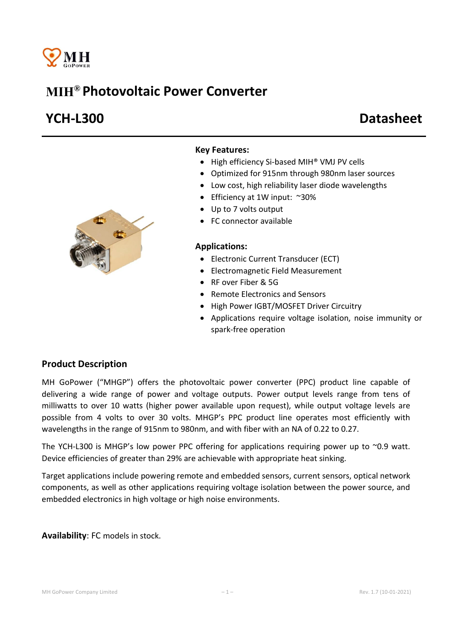

# MIH® Photovoltaic Power Converter

# YCH-L300 Datasheet



### Key Features:

- High efficiency Si-based MIH<sup>®</sup> VMJ PV cells
- Optimized for 915nm through 980nm laser sources
- Low cost, high reliability laser diode wavelengths
- Efficiency at 1W input: ~30%
- Up to 7 volts output
- FC connector available

#### Applications:

- Electronic Current Transducer (ECT)
- Electromagnetic Field Measurement
- RF over Fiber & 5G
- Remote Electronics and Sensors
- High Power IGBT/MOSFET Driver Circuitry
- Applications require voltage isolation, noise immunity or spark-free operation

## Product Description

MH GoPower ("MHGP") offers the photovoltaic power converter (PPC) product line capable of delivering a wide range of power and voltage outputs. Power output levels range from tens of milliwatts to over 10 watts (higher power available upon request), while output voltage levels are possible from 4 volts to over 30 volts. MHGP's PPC product line operates most efficiently with wavelengths in the range of 915nm to 980nm, and with fiber with an NA of 0.22 to 0.27.

The YCH-L300 is MHGP's low power PPC offering for applications requiring power up to  $\sim$ 0.9 watt. Device efficiencies of greater than 29% are achievable with appropriate heat sinking.

Target applications include powering remote and embedded sensors, current sensors, optical network components, as well as other applications requiring voltage isolation between the power source, and embedded electronics in high voltage or high noise environments.

Availability: FC models in stock.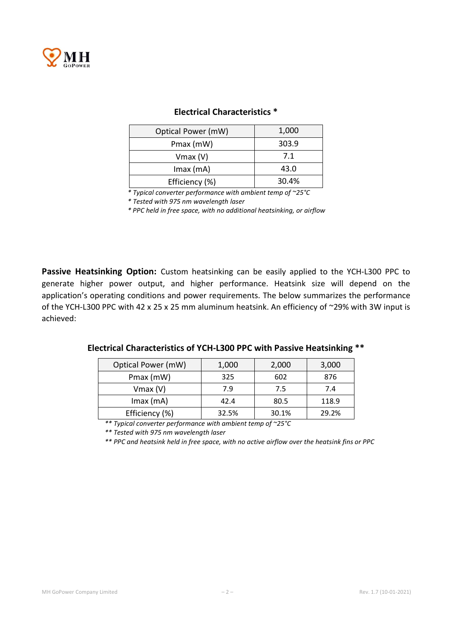

| Optical Power (mW) | 1,000 |  |
|--------------------|-------|--|
| Pmax (mW)          | 303.9 |  |
| $V$ max $(V)$      | 7.1   |  |
| $Imax$ (mA)        | 43.0  |  |
| Efficiency (%)     | 30.4% |  |

## Electrical Characteristics \*

*\* Typical converter performance with ambient temp of ~25°C*

*\* Tested with 975 nm wavelength laser*

*\* PPC held in free space, with no additional heatsinking, or airflow*

Passive Heatsinking Option: Custom heatsinking can be easily applied to the YCH-L300 PPC to generate higher power output, and higher performance. Heatsink size will depend on the application's operating conditions and power requirements. The below summarizes the performance of the YCH-L300 PPC with 42 x 25 x 25 mm aluminum heatsink. An efficiency of ~29% with 3W input is achieved:

| Electrical Characteristics of YCH-L300 PPC with Passive Heatsinking ** |  |
|------------------------------------------------------------------------|--|
|------------------------------------------------------------------------|--|

| Optical Power (mW) | 1,000 | 2,000 | 3,000 |
|--------------------|-------|-------|-------|
| Pmax (mW)          | 325   | 602   | 876   |
| $V$ max $(V)$      | 7.9   | 7.5   | 7.4   |
| $Imax$ (mA)        | 42.4  | 80.5  | 118.9 |
| Efficiency (%)     | 32.5% | 30.1% | 29.2% |

*\*\* Typical converter performance with ambient temp of ~25°C*

*\*\* Tested with 975 nm wavelength laser*

*\*\* PPC and heatsink held in free space, with no active airflow over the heatsink fins or PPC*